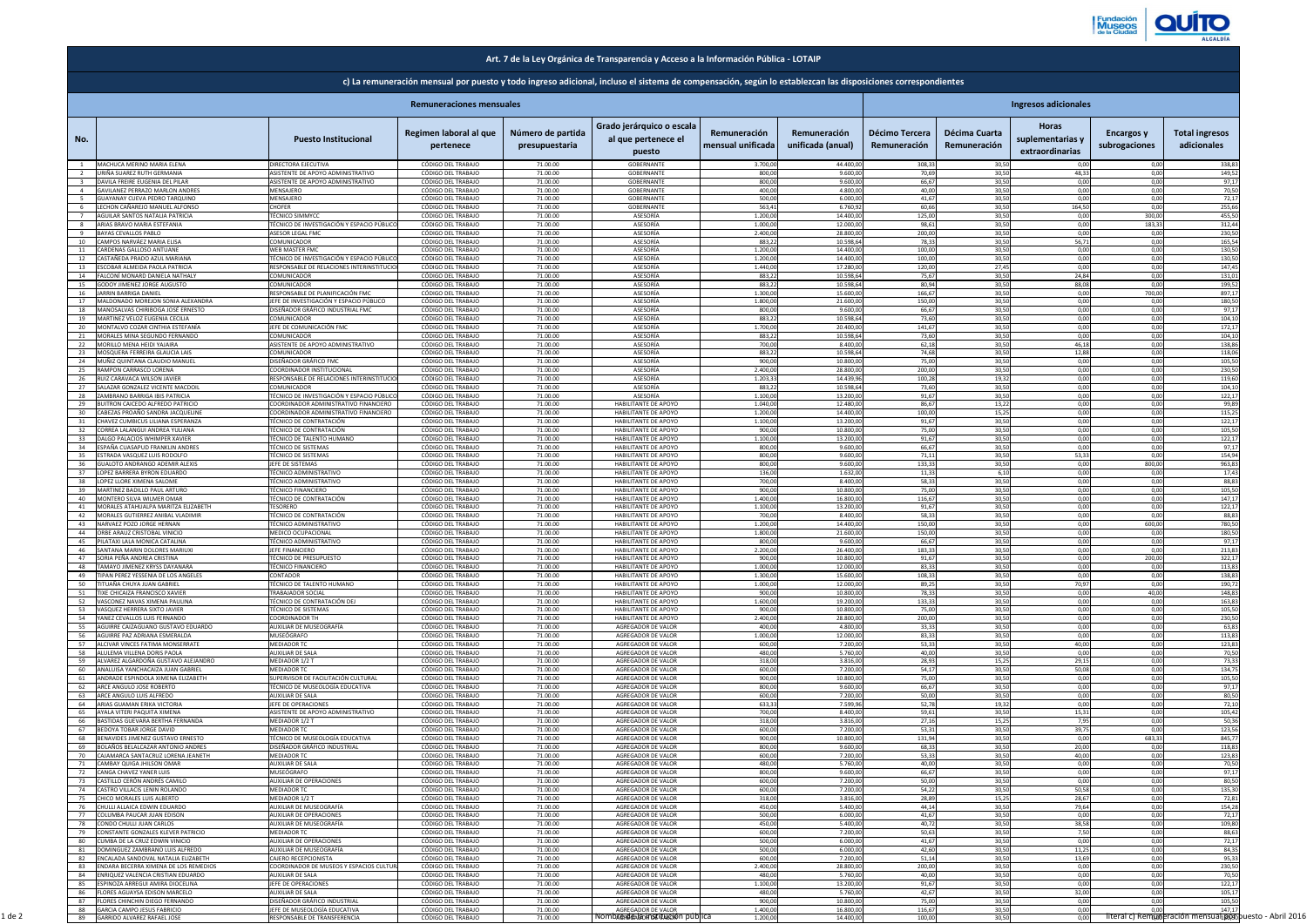| No.         |                                                                      | <b>Puesto Institucional</b>                                                    | Regimen laboral al que<br>pertenece      | Número de partida<br>presupuestaria | Grado jerárquico o escala<br>al que pertenece el<br>puesto | Remuneración<br>mensual unificada | Remuneración<br>unificada (anual) | <b>Décimo Tercera</b><br>Remuneración | Décima Cuarta<br>Remuneración | <b>Horas</b><br>suplementarias y<br>extraordinarias | <b>Encargos y</b><br>subrogaciones | <b>Total ingresos</b><br>adicionales |  |
|-------------|----------------------------------------------------------------------|--------------------------------------------------------------------------------|------------------------------------------|-------------------------------------|------------------------------------------------------------|-----------------------------------|-----------------------------------|---------------------------------------|-------------------------------|-----------------------------------------------------|------------------------------------|--------------------------------------|--|
|             | MACHUCA MERINO MARIA ELENA                                           | DIRECTORA EJECUTIVA                                                            | CÓDIGO DEL TRABAJO                       | 71.00.00                            | GOBERNANTI                                                 | 3.700,00                          | 44.400.00                         | 308.33                                | 30.50                         | 0.00                                                | 0.00                               | 338.83                               |  |
|             | JRIÑA SUAREZ RUTH GERMANIA<br>DAVILA FREIRE EUGENIA DEL PILAR        | ASISTENTE DE APOYO ADMINISTRATIVO<br>ASISTENTE DE APOYO ADMINISTRATIVO         | CÓDIGO DEL TRABAJO<br>CÓDIGO DEL TRABAJO | 71.00.00<br>71.00.00                | GOBERNANTE<br>GOBERNANTE                                   | 800.00<br>800.00                  | 9.600.00<br>9.600.00              | 70,69<br>66,67                        | 30.50<br>30.50                | 48.33<br>0.00                                       | 0.00<br>0.00                       | 149,52<br>97,17                      |  |
|             | GAVILANEZ PERRAZO MARLON ANDRES                                      | <b>MENSAJERO</b>                                                               | CÓDIGO DEL TRABAJO                       | 71.00.00                            | GOBERNANTI                                                 | 400.00                            | 4.800,00                          | 40.00                                 | 30.50                         | 0.00                                                | 0.00                               | 70,50                                |  |
|             | <b>GUAYANAY CUEVA PEDRO TARQUINO</b>                                 | <b>MENSAJERO</b>                                                               | CÓDIGO DEL TRABAJO                       | 71.00.00                            | GOBERNANTI                                                 | 500.00                            | 6.000,00                          | 41.67                                 | 30.50                         | 0.00                                                | 0.00                               | 72,17                                |  |
|             | LECHON CAÑAREJO MANUEL ALFONSO                                       | CHOFER                                                                         | CÓDIGO DEL TRABAJO                       | 71.00.00                            | GOBERNANTI                                                 | 563.41                            | 6.760,92                          | 60,66                                 | 30.50                         | 164.50                                              | 0.00                               | 255,66                               |  |
|             | AGUILAR SANTOS NATALIA PATRICIA                                      | <b>TÉCNICO SIMMYCC</b>                                                         | CÓDIGO DEL TRABAJO                       | 71.00.00                            | ASESORÍA                                                   | 1.200,00                          | 14.400.00                         | 125,00                                | 30.50                         | 0.00                                                | 300.00                             | 455,50                               |  |
|             | ARIAS BRAVO MARIA ESTEFANIA<br><b>BAYAS CEVALLOS PABLO</b>           | TÉCNICO DE INVESTIGACIÓN Y ESPACIO PÚBLICO<br><b>ASESOR LEGAL FMC</b>          | CÓDIGO DEL TRABAJO<br>CÓDIGO DEL TRABAJO | 71.00.00<br>71.00.00                | ASESORÍA<br>ASESORÍA                                       | 1.000.00<br>2.400.0               | 12.000.00<br>28.800.00            | 98,61<br>200.00                       | 30.50<br>30.50                | 0.00<br>0.00                                        | 183,33<br>0.00                     | 312,44<br>230,50                     |  |
| 10          | CAMPOS NARVÁEZ MARIA ELISA                                           | <b>COMUNICADOR</b>                                                             | CÓDIGO DEL TRABAJO                       | 71.00.00                            | ASESORÍA                                                   | 883.22                            | 10.598.64                         | 78.33                                 | 30.50                         | 56.71                                               | 0.00                               | 165,54                               |  |
| 11          | ARDENAS GALLOSO ANTUANE                                              | <b>WEB MASTER FMC</b>                                                          | CÓDIGO DEL TRABAJO                       | 71.00.00                            | ASESORÍA                                                   | 1.200.0                           | 14.400.00                         | 100.00                                | 30.50                         | 0.00                                                | 0.00                               | 130.50                               |  |
| 12          | CASTAÑEDA PRADO AZUL MARIANA                                         | TÉCNICO DE INVESTIGACIÓN Y ESPACIO PÚBLICO                                     | CÓDIGO DEL TRABAJO                       | 71.00.00                            | ASESORÍA                                                   | 1.200,00                          | 14.400.00                         | 100.00                                | 30.50                         | 0.00                                                | 0.00                               | 130,50                               |  |
| -13         | COBAR ALMEIDA PAOLA PATRICIA                                         | RESPONSABLE DE RELACIONES INTERINSTITUCIO                                      | CÓDIGO DEL TRABAJO                       | 71.00.00                            | ASESORÍA                                                   | 1.440,00                          | 17.280,00                         | 120,00                                | 27,45                         | 0.00                                                | 0.00                               | 147,45                               |  |
| 14          | ALCONI MONARD DANIELA NATHALY                                        | COMUNICADOR                                                                    | CÓDIGO DEL TRABAJO                       | 71.00.00                            | ASESORÍA                                                   | 883,22                            | 10.598,64                         | 75,67                                 | 30.50                         | 24.84                                               | 0.00                               | 131,01                               |  |
| 15<br>16    | <b>GODOY JIMENEZ JORGE AUGUSTO</b><br>ARRIN BARRIGA DANIEL           | <b>COMUNICADOR</b><br>RESPONSABLE DE PLANIFICACIÓN FMC                         | CÓDIGO DEL TRABAJO<br>CÓDIGO DEL TRABAJO | 71.00.00<br>71.00.00                | ASESORÍA<br>ASESORÍA                                       | 883.22<br>1.300,0                 | 10.598,64<br>15.600,00            | 80.94<br>166,67                       | 30.50<br>30.50                | 88.08<br>0.00                                       | 0.00<br>700,00                     | 199,52<br>897,11                     |  |
| 17          | MALDONADO MOREJON SONIA ALEXANDRA                                    | JEFE DE INVESTIGACIÓN Y ESPACIO PÚBLICO                                        | CÓDIGO DEL TRABAJO                       | 71.00.00                            | ASESORÍA                                                   | 1.800.0                           | 21.600,00                         | 150,00                                | 30.50                         | 0,00                                                | 0.00                               | 180,50                               |  |
| 18          | MANOSALVAS CHIRIBOGA JOSÉ ERNESTO                                    | DISEÑADOR GRÁFICO INDUSTRIAL FMC                                               | CÓDIGO DEL TRABAJO                       | 71.00.00                            | ASESORÍA                                                   | 800.00                            | 9.600,00                          | 66.67                                 | 30.50                         | 0.00                                                | 0.00                               | 97.17                                |  |
| 19          | <b>MARTINEZ VELOZ EUGENIA CECILIA</b>                                | <b>COMUNICADOR</b>                                                             | CÓDIGO DEL TRABAJO                       | 71.00.00                            | ASESORÍA                                                   | 883.22                            | 10.598,64                         | 73,60                                 | 30.50                         | 0.00                                                | 0.00                               | 104,10                               |  |
| -20         | ⁄IONTALVO COZAR CINTHIA ESTEFANÍA                                    | JEFE DE COMUNICACIÓN FMC                                                       | CÓDIGO DEL TRABAJO                       | 71.00.00                            | ASESORÍA                                                   | 1.700.0                           | 20.400.00                         | 141.67                                | 30.50                         | 0.00                                                | 0.00                               | 172,17                               |  |
| - 21        | MORALES MINA SEGUNDO FERNANDO                                        | <b>COMUNICADOR</b>                                                             | CÓDIGO DEL TRABAJO                       | 71.00.00                            | ASESORÍA                                                   | 883.22                            | 10.598.64                         | 73.60                                 | 30.50                         | 0.00                                                | 0.00                               | 104.10                               |  |
| -22<br>- 23 | <i>I</i> ORILLO MENA HEIDI YAJAIRA<br>1OSQUERA FERREIRA GLAUCIA LAIS | ASISTENTE DE APOYO ADMINISTRATIVO<br><b>COMUNICADOR</b>                        | CÓDIGO DEL TRABAJO<br>CÓDIGO DEL TRABAJO | 71.00.00<br>71.00.00                | ASESORÍA<br>ASESORÍA                                       | 700.00<br>883,22                  | 8.400.00<br>10.598,64             | 62,18<br>74,68                        | 30.50<br>30,50                | 46.18<br>12,88                                      | 0.00<br>0.00                       | 138,86<br>118,06                     |  |
| -24         | MUÑIZ QUINTANA CLAUDIO MANUEI                                        | DISEÑADOR GRÁFICO FMC                                                          | CÓDIGO DEL TRABAJO                       | 71.00.00                            | ASESORÍA                                                   | 900.00                            | 10.800,00                         | 75,00                                 | 30,50                         | 0.00                                                | 0.00                               | 105,50                               |  |
| 25          | RAMPON CARRASCO LORENA                                               | COORDINADOR INSTITUCIONAL                                                      | CÓDIGO DEL TRABAJO                       | 71.00.00                            | ASESORÍA                                                   | 2.400,0                           | 28.800,00                         | 200,00                                | 30.50                         | 0.00                                                | 0.00                               | 230,50                               |  |
| -26         | RUIZ CARAVACA WILSON JAVIER                                          | RESPONSABLE DE RELACIONES INTERINSTITUCIO                                      | CÓDIGO DEL TRABAJO                       | 71.00.00                            | ASESORÍA                                                   | 1.203,3                           | 14.439,96                         | 100,28                                | 19,32                         | 0.00                                                | 0.00                               | 119,60                               |  |
| 27          | SALAZAR GONZALEZ VICENTE MACDOIL                                     | <b>COMUNICADOR</b>                                                             | CÓDIGO DEL TRABAJO                       | 71.00.00                            | ASESORÍA                                                   | 883,22                            | 10.598,64                         | 73,60                                 | 30.50                         | 0.00                                                | 0.00                               | 104,10                               |  |
| -28         | ZAMBRANO BARRIGA IBIS PATRICIA                                       | TÉCNICO DE INVESTIGACIÓN Y ESPACIO PÚBLICO                                     | CÓDIGO DEL TRABAJO                       | 71.00.00                            | ASESORÍA                                                   | 1.100.00                          | 13.200,00                         | 91.67                                 | 30.50                         | 0.00                                                | 0.00                               | 122,17                               |  |
| -29<br>30   | JITRON CAICEDO ALFREDO PATRICIO<br>ABEZAS PROAÑO SANDRA JACQUELINE:  | COORDINADOR ADMINISTRATIVO FINANCIERO<br>COORDINADOR ADMINISTRATIVO FINANCIERO | CÓDIGO DEL TRABAJO<br>CÓDIGO DEL TRABAJO | 71.00.00<br>71.00.00                | <b>HABILITANTE DE APOYO</b><br>HABILITANTE DE APOYO        | 1.040.0<br>1.200.0                | 12.480.00<br>14.400.00            | 86.67<br>100.00                       | 13,22<br>15.25                | 0.00<br>0.00                                        | 0.00<br>0.00                       | 99.89<br>115,25                      |  |
| -31         | CHAVEZ CUMBICUS LILIANA ESPERANZA                                    | TÉCNICO DE CONTRATACIÓN                                                        | CÓDIGO DEL TRABAJO                       | 71.00.00                            | <b>HABILITANTE DE APOYO</b>                                | 1.100.00                          | 13.200,00                         | 91,67                                 | 30.50                         | 0.00                                                | 0.00                               | 122,17                               |  |
| -32         | ORREA LALANGUI ANDREA YULIANA                                        | TÉCNICO DE CONTRATACIÓN                                                        | CÓDIGO DEL TRABAJO                       | 71.00.00                            | <b>HABILITANTE DE APOYO</b>                                | 900.00                            | 10.800,00                         | 75,00                                 | 30,50                         | 0,00                                                | 0.00                               | 105,50                               |  |
| 33          | DALGO PALACIOS WHIMPER XAVIER                                        | TÉCNICO DE TALENTO HUMANO                                                      | CÓDIGO DEL TRABAJO                       | 71.00.00                            | HABILITANTE DE APOYO                                       | 1.100,00                          | 13.200,00                         | 91,67                                 | 30.50                         | 0.00                                                | 0.00                               | 122,17                               |  |
|             | <b>ESPANA CUASAPUD FRANKLIN ANDRES</b>                               | <b>ILCNICO DE SISTEMAS</b>                                                     | CODIGO DEL TRABAJO                       | 71.00.00                            | HABILITANTE DE APOYO                                       | 800,00                            | 9.600,00                          | 66,67                                 | 30,50                         | <b>0,00</b>                                         | <b>0,001</b>                       | 97,11                                |  |
|             | ESTRADA VASQUEZ LUIS RODOLFO                                         | TÉCNICO DE SISTEMAS                                                            | CÓDIGO DEL TRABAJO                       | 71.00.00                            | HABILITANTE DE APOYO                                       | 800.00                            | 9.600.00                          | 71,11                                 | 30.50                         | 53.33                                               | 0.00                               | 154,94                               |  |
|             | <b>GUALOTO ANDRANGO ADEMIR ALEXIS</b><br>LOPEZ BARRERA BYRON EDUARDO | JEFE DE SISTEMAS<br>TÉCNICO ADMINISTRATIVO                                     | CÓDIGO DEL TRABAJO<br>CÓDIGO DEL TRABAJO | 71.00.00<br>71.00.00                | HABILITANTE DE APOYO<br>HABILITANTE DE APOYO               | 800,00<br>136,00                  | 9.600,00<br>1.632,00              | 133,33<br>11,33                       | 30,50<br>6.10                 | 0,00<br>0.00                                        | 800,00<br>0.00                     | 963,83<br>17,43                      |  |
| -38         | LOPEZ LLORE XIMENA SALOME                                            | TÉCNICO ADMINISTRATIVO                                                         | CÓDIGO DEL TRABAJO                       | 71.00.00                            | HABILITANTE DE APOYO                                       | 700.00                            | 8.400,00                          | 58,33                                 | 30.50                         | 0,00                                                | 0.00                               | 88,83                                |  |
| - 39        | MARTINEZ BADILLO PAUL ARTURO                                         | TÉCNICO FINANCIERO                                                             | CÓDIGO DEL TRABAJO                       | 71.00.00                            | HABILITANTE DE APOYO                                       | 900.00                            | 10.800,00                         | 75,00                                 | 30.50                         | 0.00                                                | 0.00                               | 105,50                               |  |
| 40          | MONTERO SILVA WILMER OMAR                                            | TÉCNICO DE CONTRATACIÓN                                                        | CÓDIGO DEL TRABAJO                       | 71.00.00                            | HABILITANTE DE APOYO                                       | 1.400,00                          | 16.800,00                         | 116,67                                | 30.50                         | 0,00                                                | 0.00                               | 147,17                               |  |
| 41          | MORALES ATAHUALPA MARITZA ELIZABETH                                  | TESORERO                                                                       | CÓDIGO DEL TRABAJO                       | 71.00.00                            | HABILITANTE DE APOYO                                       | 1.100,00                          | 13.200,00                         | 91,67                                 | 30,50                         | 0.00                                                | 0.00                               | 122,17                               |  |
|             | MORALES GUTIERREZ ANIBAL VLADIMIR                                    | TÉCNICO DE CONTRATACIÓN                                                        | CÓDIGO DEL TRABAJO                       | 71.00.00                            | <b>HABILITANTE DE APOYO</b>                                | 700.00                            | 8.400,00                          | 58,33                                 | 30,50                         | 0,00                                                | 0.00                               | 88.83                                |  |
| 43          | NARVAEZ POZO JORGE HERNAN                                            | TÉCNICO ADMINISTRATIVO                                                         | CÓDIGO DEL TRABAJO                       | 71.00.00<br>71.00.00                | HABILITANTE DE APOYO                                       | 1.200,00<br>1.800,00              | 14.400,00<br>21.600,00            | 150,00                                | 30.50<br>30.50                | 0,00<br>0,00                                        | 600,00<br>0.00                     | 780,50                               |  |
| 44<br>45    | ORBE ARAUZ CRISTOBAL VINICIO<br>PILATAXI LALA MONICA CATALINA        | <b>MEDICO OCUPACIONAL</b><br>TÉCNICO ADMINISTRATIVO                            | CÓDIGO DEL TRABAJO<br>CÓDIGO DEL TRABAJO | 71.00.00                            | <b>HABILITANTE DE APOYO</b><br>HABILITANTE DE APOYO        | 800,00                            | 9.600,00                          | 150,00<br>66,67                       | 30,50                         | 0.00                                                | 0.00                               | 180,50<br>97,17                      |  |
| 46          | SANTANA MARIN DOLORES MARIUXI                                        | JEFE FINANCIERO                                                                | CÓDIGO DEL TRABAJO                       | 71.00.00                            | HABILITANTE DE APOYO                                       | 2.200,00                          | 26.400,00                         | 183,33                                | 30.50                         | 0.00                                                | 0.00                               | 213,83                               |  |
| 47          | SORIA PEÑA ANDREA CRISTINA                                           | TÉCNICO DE PRESUPUESTO                                                         | CÓDIGO DEL TRABAJO                       | 71.00.00                            | <b>HABILITANTE DE APOYO</b>                                | 900.00                            | 10.800.00                         | 91,67                                 | 30.50                         | 0.00                                                | 200,00                             | 322,17                               |  |
| 48.         | FAMAYO JIMENEZ KRYSS DAYANARA                                        | TÉCNICO FINANCIERO                                                             | CÓDIGO DEL TRABAJO                       | 71.00.00                            | HABILITANTE DE APOYO                                       | 1.000,00                          | 12.000,00                         | 83,33                                 | 30.50                         | 0.00                                                | 0.00                               | 113,83                               |  |
| -49         | TIPAN PEREZ YESSENIA DE LOS ANGELES                                  | CONTADOR                                                                       | CÓDIGO DEL TRABAJO                       | 71.00.00                            | HABILITANTE DE APOYO                                       | 1.300.00                          | 15.600.00                         | 108.33                                | 30.50                         | 0.00                                                | 0.00                               | 138,83                               |  |
| -50<br>51   | ITUAÑA CHUYA JUAN GABRIEL<br>TIXE CHICAIZA FRANCISCO XAVIER          | TÉCNICO DE TALENTO HUMANO<br>TRABAJADOR SOCIAL                                 | CÓDIGO DEL TRABAJO<br>CÓDIGO DEL TRABAJO | 71.00.00<br>71.00.00                | HABILITANTE DE APOYO<br><b>HABILITANTE DE APOYO</b>        | 1.000,00<br>900,00                | 12.000,00<br>10.800,00            | 89,25<br>78,331                       | 30,50<br>30,50                | 70,97<br>0.00                                       | 0.00<br>40.00                      | 190,72<br>148,83                     |  |
| 52          | VASCONEZ NAVAS XIMENA PAULINA                                        | TÉCNICO DE CONTRATACIÓN DEJ                                                    | CÓDIGO DEL TRABAJO                       | 71.00.00                            | <b>HABILITANTE DE APOYO</b>                                | 1.600,00                          | 19.200,00                         | 133,33                                | 30.50                         | 0.00                                                | 0.00                               | 163,83                               |  |
| -53.        | VASQUEZ HERRERA SIXTO JAVIER                                         | TÉCNICO DE SISTEMAS                                                            | CÓDIGO DEL TRABAJO                       | 71.00.00                            | HABILITANTE DE APOYO                                       | 900.00                            | 10.800,00                         | 75,00                                 | 30.50                         | 0,00                                                | 0.00                               | 105,50                               |  |
| -54         | YANEZ CEVALLOS LUIS FERNANDO                                         | <b>COORDINADOR TH</b>                                                          | CÓDIGO DEL TRABAJO                       | 71.00.00                            | HABILITANTE DE APOYO                                       | 2.400,00                          | 28.800,00                         | 200,00                                | 30,50                         | 0,00                                                | 0,00                               | 230,50                               |  |
|             | AGUIRRE CAIZAGUANO GUSTAVO EDUARDO                                   | AUXILIAR DE MUSEOGRAFÍA                                                        | CÓDIGO DEL TRABAJO                       | 71.00.00                            | AGREGADOR DE VALOR                                         | 400.00                            | 4.800.00                          | 33,33                                 | 30.50                         | 0.00                                                | 0.00                               | 63.83                                |  |
| -56<br>57   | AGUIRRE PAZ ADRIANA ESMERALDA<br>ALCIVAR VINCES FATIMA MONSERRATE    | MUSEÓGRAFO<br><b>MEDIADOR TC</b>                                               | CÓDIGO DEL TRABAJO<br>CÓDIGO DEL TRABAJO | 71.00.00<br>71.00.00                | AGREGADOR DE VALOR<br>AGREGADOR DE VALOR                   | 1.000.00<br>600.00                | 12.000.00<br>7.200.00             | 83.33<br>53.33                        | 30.50<br>30.50                | 0.00<br>40.00                                       | 0.00<br>0.00                       | 113,83<br>123,83                     |  |
| 58.         | LULEMA VILLENA DORIS PAOLA                                           | <b>AUXILIAR DE SALA</b>                                                        | CÓDIGO DEL TRABAJO                       | 71.00.00                            | AGREGADOR DE VALOR                                         | 480.00                            | 5.760.00                          | 40.00                                 | 30.50                         | 0.00                                                | 0.00                               | 70,50                                |  |
| - 59        | ALVAREZ ALGARDOÑA GUSTAVO ALEJANDRO                                  | MEDIADOR 1/2 T                                                                 | CÓDIGO DEL TRABAJO                       | 71.00.00                            | AGREGADOR DE VALOR                                         | 318,00                            | 3.816,00                          | 28,93                                 | 15,25                         | 29,15                                               | 0.00                               | 73,33                                |  |
|             | ANALUISA YANCHACAIZA JUAN GABRIEL                                    | <b>MEDIADOR TC</b>                                                             | CÓDIGO DEL TRABAJO                       | 71.00.00                            | AGREGADOR DE VALOR                                         | 600,00                            | 7.200,00                          | 54,17                                 | 30,50                         | 50.08                                               | 0,00                               | 134,75                               |  |
|             | ANDRADE ESPINDOLA XIMENA ELIZABETH                                   | SUPERVISOR DE FACILITACIÓN CULTURAL                                            | CÓDIGO DEL TRABAJO                       | 71.00.00                            | AGREGADOR DE VALOR                                         | 900.00                            | 10.800,00                         | 75,00                                 | 30.50                         | 0.00                                                | 0.00                               | 105,50                               |  |
|             | ARCE ANGULO JOSE ROBERTO                                             | TÉCNICO DE MUSEOLOGÍA EDUCATIVA                                                | CÓDIGO DEL TRABAJO                       | 71.00.00                            | AGREGADOR DE VALOR                                         | 800.00                            | 9.600,00                          | 66,67                                 | 30.50                         | 0.00                                                | 0.00                               | 97,17                                |  |
| 64          | ARCE ANGULO LUIS ALFREDO<br>ARIAS GUAMAN ERIKA VICTORIA              | <b>AUXILIAR DE SALA</b><br>JEFE DE OPERACIONES                                 | CÓDIGO DEL TRABAJO<br>CÓDIGO DEL TRABAJO | 71.00.00<br>71.00.00                | AGREGADOR DE VALOR<br>AGREGADOR DE VALOR                   | 600.00<br>633,33                  | 7.200,00<br>7.599,96              | 50,00<br>52,78                        | 30.50<br>19,32                | 0,00<br>0.00                                        | 0.00<br>0.00                       | 80,50<br>72,10                       |  |
|             | AYALA VITERI PAOUITA XIMENA                                          | ASISTENTE DE APOYO ADMINISTRATIVO                                              | CÓDIGO DEL TRABAJO                       | 71.00.00                            | AGREGADOR DE VALOR                                         | 700.00                            | 8.400.00                          | 59,61                                 | 30.50                         | 15,31                                               | 0.00                               | 105,42                               |  |
| 66.         | BASTIDAS GUEVARA BERTHA FERNANDA                                     | MEDIADOR 1/2 T                                                                 | CÓDIGO DEL TRABAJO                       | 71.00.00                            | AGREGADOR DE VALOR                                         | 318.00                            | 3.816.00                          | 27.16                                 | 15.25                         | 7.95                                                | 0.00                               | 50,36                                |  |
| 67          | <b>BEDOYA TOBAR JORGE DAVID</b>                                      | <b>MEDIADOR TC</b>                                                             | CÓDIGO DEL TRABAJO                       | 71.00.00                            | AGREGADOR DE VALOR                                         | 600.00                            | 7.200.00                          | 53.31                                 | 30.50                         | 39.75                                               | 0.00                               | 123,56                               |  |
| -68         | BENAVIDES JIMENEZ GUSTAVO ERNESTO                                    | TÉCNICO DE MUSEOLOGÍA EDUCATIVA                                                | CÓDIGO DEL TRABAJO                       | 71.00.00                            | AGREGADOR DE VALOR                                         | 900.00                            | 10.800,00                         | 131,94                                | 30,50                         | 0.00                                                | 683,33                             | 845,77                               |  |
| 69          | BOLAÑOS BELALCAZAR ANTONIO ANDRES                                    | DISEÑADOR GRÁFICO INDUSTRIAL                                                   | CÓDIGO DEL TRABAJO                       | 71.00.00                            | AGREGADOR DE VALOR                                         | 800,00                            | 9.600,00                          | 68,33                                 | 30,50                         | 20,00                                               | 0.00                               | 118,83                               |  |
| 71          | CAJAMARCA SANTACRUZ LORENA JEANETH<br>CAMBAY QUIGA JHILSON OMAR      | <b>MEDIADOR TC</b><br><b>AUXILIAR DE SALA</b>                                  | CÓDIGO DEL TRABAJO<br>CÓDIGO DEL TRABAJO | 71.00.00<br>71.00.00                | AGREGADOR DE VALOR<br>AGREGADOR DE VALOR                   | 600,00<br>480.00                  | 7.200,00<br>5.760,00              | 53,33<br>40.00                        | 30,50<br>30.50                | 40.00<br>0.00                                       | 0,00<br>0.00                       | 123,83<br>70,50                      |  |
| 72          | <b>CANGA CHAVEZ YANER LUIS</b>                                       | MUSEÓGRAFO                                                                     | CÓDIGO DEL TRABAJO                       | 71.00.00                            | AGREGADOR DE VALOR                                         | 800.00                            | 9.600,00                          | 66,67                                 | 30.50                         | 0.00                                                | 0.00                               | 97,17                                |  |
|             | CASTILLO CERÓN ANDRÉS CAMILO                                         | <b>AUXILIAR DE OPERACIONES</b>                                                 | CÓDIGO DEL TRABAJO                       | 71.00.00                            | AGREGADOR DE VALOR                                         | 600.00                            | 7.200,00                          | 50,00                                 | 30.50                         | 0.00                                                | 0.00                               | 80,50                                |  |
|             | CASTRO VILLACIS LENIN ROLANDO                                        | <b>MEDIADOR TC</b>                                                             | CÓDIGO DEL TRABAJO                       | 71.00.00                            | AGREGADOR DE VALOR                                         | 600.00                            | 7.200,00                          | 54,22                                 | 30.50                         | 50.58                                               | 0.00                               | 135,30                               |  |
| 75          | CHICO MORALES LUIS ALBERTO                                           | MEDIADOR 1/2 T                                                                 | CÓDIGO DEL TRABAJO                       | 71.00.00                            | AGREGADOR DE VALOR                                         | 318.00                            | 3.816,00                          | 28.89                                 | 15.25                         | 28.67                                               | 0.00                               | 72.81                                |  |
| 76          | CHULLI ALLAICA EDWIN EDUARDO                                         | AUXILIAR DE MUSEOGRAFÍA                                                        | CÓDIGO DEL TRABAJO                       | 71.00.00                            | AGREGADOR DE VALOR                                         | 450,00                            | 5.400.00                          | 44,14                                 | 30.50                         | 79,64                                               | 0.00                               | 154,28                               |  |
| 77          | COLUMBA PAUCAR JUAN EDISON<br>CONDO CHULLI JUAN CARLOS               | <b>AUXILIAR DE OPERACIONES</b><br>AUXILIAR DE MUSEOGRAFÍA                      | CÓDIGO DEL TRABAJO<br>CÓDIGO DEL TRABAJO | 71.00.00<br>71.00.00                | AGREGADOR DE VALOR<br>AGREGADOR DE VALOR                   | 500.00                            | 6.000.00<br>5.400,00              | 41,67                                 | 30.50<br>30,50                | 0.00                                                | 0.00                               | 72,17<br>109,80                      |  |
| 78<br>79    | CONSTANTE GONZALES KLEVER PATRICIO                                   | <b>MEDIADOR TC</b>                                                             | CÓDIGO DEL TRABAJO                       | 71.00.00                            | AGREGADOR DE VALOR                                         | 450,00<br>600,00                  | 7.200,00                          | 40,72<br>50,63                        | 30,50                         | 38,58<br>7,50                                       | 0,00<br>0.00                       | 88,63                                |  |
| 80          | CUMBA DE LA CRUZ EDWIN VINICIO                                       | <b>AUXILIAR DE OPERACIONES</b>                                                 | CÓDIGO DEL TRABAJO                       | 71.00.00                            | AGREGADOR DE VALOR                                         | 500.00                            | 6.000,00                          | 41,67                                 | 30,50                         | 0,00                                                | 0.00                               | 72,17                                |  |
| 81          | DOMINGUEZ ZAMBRANO LUIS ALFREDO                                      | AUXILIAR DE MUSEOGRAFÍA                                                        | CÓDIGO DEL TRABAJO                       | 71.00.00                            | AGREGADOR DE VALOR                                         | 500.00                            | 6.000,00                          | 42,60                                 | 30.50                         | 11,25                                               | 0.00                               | 84,35                                |  |
| 82          | ENCALADA SANDOVAL NATALIA ELIZABETH                                  | <b>CAJERO RECEPCIONISTA</b>                                                    | CÓDIGO DEL TRABAJO                       | 71.00.00                            | AGREGADOR DE VALOR                                         | 600.00                            | 7.200,00                          | 51,14                                 | 30,50                         | 13,69                                               | 0.00                               | 95,33                                |  |
| 83          | ENDARA BECERRA XIMENA DE LOS REMEDIOS                                | COORDINADOR DE MUSEOS Y ESPACIOS CULTUI                                        | CÓDIGO DEL TRABAJO                       | 71.00.00                            | AGREGADOR DE VALOR                                         | 2.400,00                          | 28.800,00                         | 200,00                                | 30.50                         | 0.00                                                | 0.00                               | 230,50                               |  |
| 84          | ENRIQUEZ VALENCIA CRISTIAN EDUARDO                                   | AUXILIAR DE SALA                                                               | CÓDIGO DEL TRABAJO                       | 71.00.00                            | AGREGADOR DE VALOR                                         | 480.00                            | 5.760,00                          | 40,00                                 | 30.50                         | 0,00                                                | 0.00                               | 70,50                                |  |
| 85          | ESPINOZA ARREGUI AMIRA DIOCELINA<br>FLORES AGUAYSA EDISON MARCELO    | JEFE DE OPERACIONES<br>AUXILIAR DE SALA                                        | CÓDIGO DEL TRABAJO<br>CÓDIGO DEL TRABAJO | 71.00.00<br>71.00.00                | AGREGADOR DE VALOR<br>AGREGADOR DE VALOR                   | 1.100,00<br>480.00                | 13.200,00<br>5.760,00             | 91,67<br>42,67                        | 30,50<br>30.50                | 0,00<br>32,00                                       | 0,00<br>0.00                       | 122,17<br>105,17                     |  |
|             |                                                                      |                                                                                |                                          |                                     |                                                            |                                   |                                   |                                       |                               |                                                     |                                    |                                      |  |
| 86<br>87    | FLORES CHINCHIN DIEGO FERNANDO                                       | DISEÑADOR GRÁFICO INDUSTRIAL                                                   | CÓDIGO DEL TRABAJO                       | 71.00.00                            | AGREGADOR DE VALOR                                         | 900,00                            | 10.800,00                         | 75,00                                 | 30,50                         | 0,00                                                | 0.00                               | 105,50                               |  |





## **c) La remuneración mensual por puesto y todo ingreso adicional, incluso el sistema de compensación, según lo establezcan las disposiciones correspondientes**

**Art. 7 de la Ley Orgánica de Transparencia y Acceso a la Información Pública - LOTAIP**